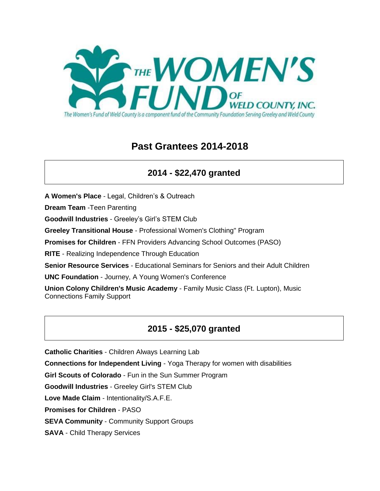

# **Past Grantees 2014-2018**

# **2014 - \$22,470 granted**

**A Women's Place** - Legal, Children's & Outreach

**Dream Team** -Teen Parenting

**Goodwill Industries** - Greeley's Girl's STEM Club

**Greeley Transitional House** - Professional Women's Clothing" Program

**Promises for Children** - FFN Providers Advancing School Outcomes (PASO)

**RITE** - Realizing Independence Through Education

**Senior Resource Services** - Educational Seminars for Seniors and their Adult Children

**UNC Foundation** - Journey, A Young Women's Conference

**Union Colony Children's Music Academy** - Family Music Class (Ft. Lupton), Music Connections Family Support

## **2015 - \$25,070 granted**

**Catholic Charities** - Children Always Learning Lab

**Connections for Independent Living** - Yoga Therapy for women with disabilities

**Girl Scouts of Colorado** - Fun in the Sun Summer Program

**Goodwill Industries** - Greeley Girl's STEM Club

**Love Made Claim** - Intentionality/S.A.F.E.

**Promises for Children** - PASO

**SEVA Community** - Community Support Groups

**SAVA** - Child Therapy Services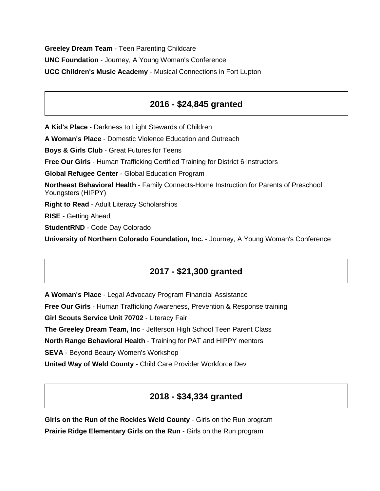**Greeley Dream Team** - Teen Parenting Childcare **UNC Foundation** - Journey, A Young Woman's Conference **UCC Children's Music Academy** - Musical Connections in Fort Lupton

### **2016 - \$24,845 granted**

**A Kid's Place** - Darkness to Light Stewards of Children

**A Woman's Place** - Domestic Violence Education and Outreach

**Boys & Girls Club** - Great Futures for Teens

**Free Our Girls** - Human Trafficking Certified Training for District 6 Instructors

**Global Refugee Center** - Global Education Program

**Northeast Behavioral Health** - Family Connects-Home Instruction for Parents of Preschool Youngsters (HIPPY)

**Right to Read** - Adult Literacy Scholarships

**RISE** - Getting Ahead

**StudentRND** - Code Day Colorado

**University of Northern Colorado Foundation, Inc.** - Journey, A Young Woman's Conference

#### **2017 - \$21,300 granted**

**A Woman's Place** - Legal Advocacy Program Financial Assistance

**Free Our Girls** - Human Trafficking Awareness, Prevention & Response training

**Girl Scouts Service Unit 70702** - Literacy Fair

**The Greeley Dream Team, Inc** - Jefferson High School Teen Parent Class

**North Range Behavioral Health** - Training for PAT and HIPPY mentors

**SEVA** - Beyond Beauty Women's Workshop

**United Way of Weld County** - Child Care Provider Workforce Dev

#### **2018 - \$34,334 granted**

**Girls on the Run of the Rockies Weld County** - Girls on the Run program **Prairie Ridge Elementary Girls on the Run** - Girls on the Run program